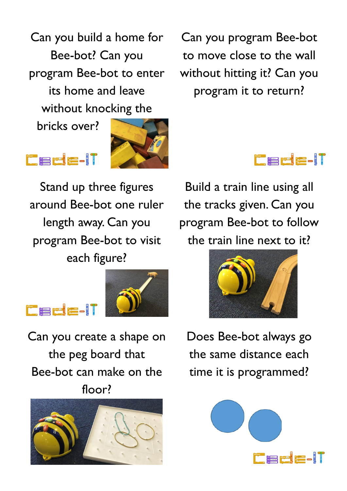Can you build a home for Bee-bot? Can you program Bee-bot to enter its home and leave without knocking the

bricks over?

**Excess Profit 200** 

**Excess Production** 



Stand up three figures around Bee-bot one ruler length away. Can you program Bee-bot to visit each figure?



Can you create a shape on the peg board that Bee-bot can make on the floor?



Can you program Bee-bot to move close to the wall without hitting it? Can you program it to return?



Build a train line using all the tracks given. Can you program Bee-bot to follow the train line next to it?



Does Bee-bot always go the same distance each time it is programmed?